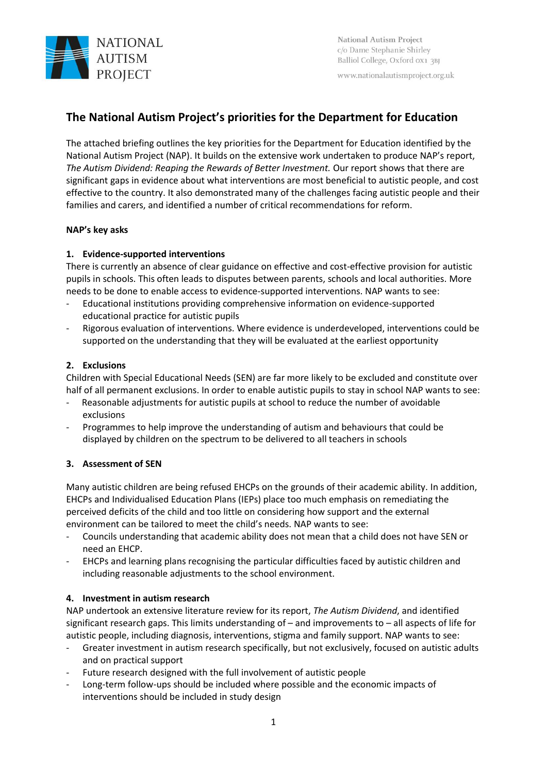

National Autism Project c/o Dame Stephanie Shirley Balliol College, Oxford 0X1 3BJ

www.nationalautismproject.org.uk

## **The National Autism Project's priorities for the Department for Education**

The attached briefing outlines the key priorities for the Department for Education identified by the National Autism Project (NAP). It builds on the extensive work undertaken to produce NAP's report, *The Autism Dividend: Reaping the Rewards of Better Investment.* Our report shows that there are significant gaps in evidence about what interventions are most beneficial to autistic people, and cost effective to the country. It also demonstrated many of the challenges facing autistic people and their families and carers, and identified a number of critical recommendations for reform.

#### **NAP's key asks**

## **1. Evidence-supported interventions**

There is currently an absence of clear guidance on effective and cost-effective provision for autistic pupils in schools. This often leads to disputes between parents, schools and local authorities. More needs to be done to enable access to evidence-supported interventions. NAP wants to see:

- Educational institutions providing comprehensive information on evidence-supported educational practice for autistic pupils
- Rigorous evaluation of interventions. Where evidence is underdeveloped, interventions could be supported on the understanding that they will be evaluated at the earliest opportunity

## **2. Exclusions**

Children with Special Educational Needs (SEN) are far more likely to be excluded and constitute over half of all permanent exclusions. In order to enable autistic pupils to stay in school NAP wants to see:

- Reasonable adjustments for autistic pupils at school to reduce the number of avoidable exclusions
- Programmes to help improve the understanding of autism and behaviours that could be displayed by children on the spectrum to be delivered to all teachers in schools

## **3. Assessment of SEN**

Many autistic children are being refused EHCPs on the grounds of their academic ability. In addition, EHCPs and Individualised Education Plans (IEPs) place too much emphasis on remediating the perceived deficits of the child and too little on considering how support and the external environment can be tailored to meet the child's needs. NAP wants to see:

- Councils understanding that academic ability does not mean that a child does not have SEN or need an EHCP.
- EHCPs and learning plans recognising the particular difficulties faced by autistic children and including reasonable adjustments to the school environment.

## **4. Investment in autism research**

NAP undertook an extensive literature review for its report, *The Autism Dividend*, and identified significant research gaps. This limits understanding of – and improvements to – all aspects of life for autistic people, including diagnosis, interventions, stigma and family support. NAP wants to see:

- Greater investment in autism research specifically, but not exclusively, focused on autistic adults and on practical support
- Future research designed with the full involvement of autistic people
- Long-term follow-ups should be included where possible and the economic impacts of interventions should be included in study design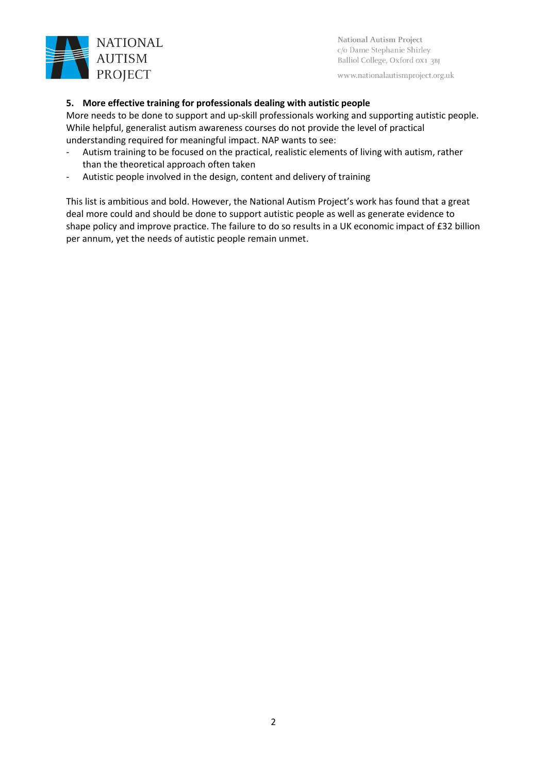

National Autism Project c/o Dame Stephanie Shirley Balliol College, Oxford 0x1 3BJ

www.nationalautismproject.org.uk

## **5. More effective training for professionals dealing with autistic people**

More needs to be done to support and up-skill professionals working and supporting autistic people. While helpful, generalist autism awareness courses do not provide the level of practical understanding required for meaningful impact. NAP wants to see:

- Autism training to be focused on the practical, realistic elements of living with autism, rather than the theoretical approach often taken
- Autistic people involved in the design, content and delivery of training

This list is ambitious and bold. However, the National Autism Project's work has found that a great deal more could and should be done to support autistic people as well as generate evidence to shape policy and improve practice. The failure to do so results in a UK economic impact of £32 billion per annum, yet the needs of autistic people remain unmet.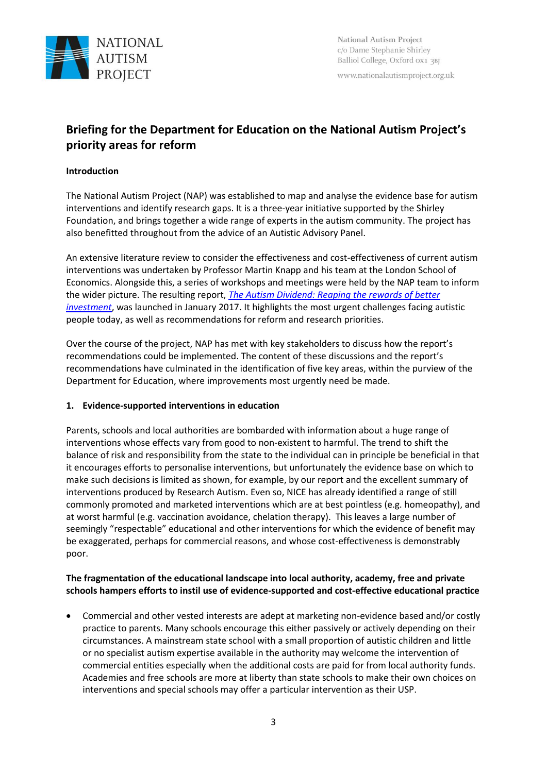

www.nationalautismproject.org.uk

# **Briefing for the Department for Education on the National Autism Project's priority areas for reform**

## **Introduction**

The National Autism Project (NAP) was established to map and analyse the evidence base for autism interventions and identify research gaps. It is a three-year initiative supported by the Shirley Foundation, and brings together a wide range of experts in the autism community. The project has also benefitted throughout from the advice of an Autistic Advisory Panel.

An extensive literature review to consider the effectiveness and cost-effectiveness of current autism interventions was undertaken by Professor Martin Knapp and his team at the London School of Economics. Alongside this, a series of workshops and meetings were held by the NAP team to inform the wider picture. The resulting report, *[The Autism Dividend: Reaping the rewards of better](http://nationalautismproject.org.uk/wp-content/uploads/2017/01/autism-dividend-report.pdf)  [investment](http://nationalautismproject.org.uk/wp-content/uploads/2017/01/autism-dividend-report.pdf)*, was launched in January 2017. It highlights the most urgent challenges facing autistic people today, as well as recommendations for reform and research priorities.

Over the course of the project, NAP has met with key stakeholders to discuss how the report's recommendations could be implemented. The content of these discussions and the report's recommendations have culminated in the identification of five key areas, within the purview of the Department for Education, where improvements most urgently need be made.

#### **1. Evidence-supported interventions in education**

Parents, schools and local authorities are bombarded with information about a huge range of interventions whose effects vary from good to non-existent to harmful. The trend to shift the balance of risk and responsibility from the state to the individual can in principle be beneficial in that it encourages efforts to personalise interventions, but unfortunately the evidence base on which to make such decisions is limited as shown, for example, by our report and the excellent summary of interventions produced by Research Autism. Even so, NICE has already identified a range of still commonly promoted and marketed interventions which are at best pointless (e.g. homeopathy), and at worst harmful (e.g. vaccination avoidance, chelation therapy). This leaves a large number of seemingly "respectable" educational and other interventions for which the evidence of benefit may be exaggerated, perhaps for commercial reasons, and whose cost-effectiveness is demonstrably poor.

## **The fragmentation of the educational landscape into local authority, academy, free and private schools hampers efforts to instil use of evidence-supported and cost-effective educational practice**

• Commercial and other vested interests are adept at marketing non-evidence based and/or costly practice to parents. Many schools encourage this either passively or actively depending on their circumstances. A mainstream state school with a small proportion of autistic children and little or no specialist autism expertise available in the authority may welcome the intervention of commercial entities especially when the additional costs are paid for from local authority funds. Academies and free schools are more at liberty than state schools to make their own choices on interventions and special schools may offer a particular intervention as their USP.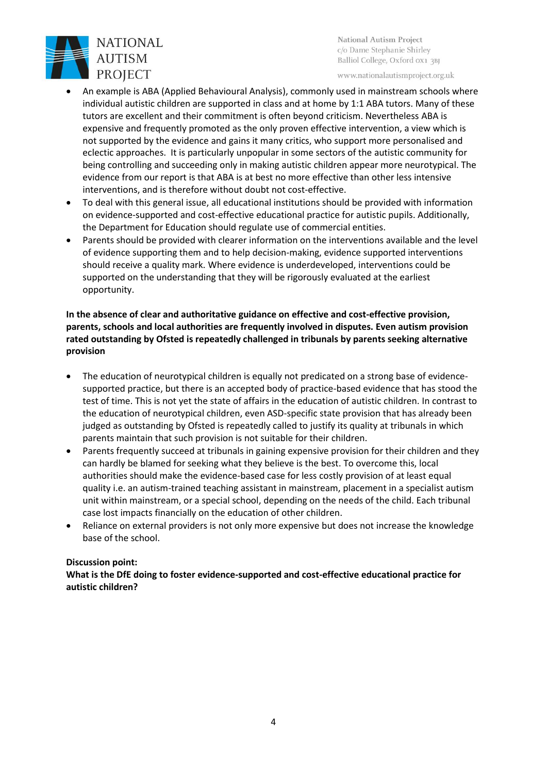

National Autism Project c/o Dame Stephanie Shirley Balliol College, Oxford ox1 3BJ

www.nationalautismproject.org.uk

- An example is ABA (Applied Behavioural Analysis), commonly used in mainstream schools where individual autistic children are supported in class and at home by 1:1 ABA tutors. Many of these tutors are excellent and their commitment is often beyond criticism. Nevertheless ABA is expensive and frequently promoted as the only proven effective intervention, a view which is not supported by the evidence and gains it many critics, who support more personalised and eclectic approaches. It is particularly unpopular in some sectors of the autistic community for being controlling and succeeding only in making autistic children appear more neurotypical. The evidence from our report is that ABA is at best no more effective than other less intensive interventions, and is therefore without doubt not cost-effective.
- To deal with this general issue, all educational institutions should be provided with information on evidence-supported and cost-effective educational practice for autistic pupils. Additionally, the Department for Education should regulate use of commercial entities.
- Parents should be provided with clearer information on the interventions available and the level of evidence supporting them and to help decision-making, evidence supported interventions should receive a quality mark. Where evidence is underdeveloped, interventions could be supported on the understanding that they will be rigorously evaluated at the earliest opportunity.

**In the absence of clear and authoritative guidance on effective and cost-effective provision, parents, schools and local authorities are frequently involved in disputes. Even autism provision rated outstanding by Ofsted is repeatedly challenged in tribunals by parents seeking alternative provision**

- The education of neurotypical children is equally not predicated on a strong base of evidencesupported practice, but there is an accepted body of practice-based evidence that has stood the test of time. This is not yet the state of affairs in the education of autistic children. In contrast to the education of neurotypical children, even ASD-specific state provision that has already been judged as outstanding by Ofsted is repeatedly called to justify its quality at tribunals in which parents maintain that such provision is not suitable for their children.
- Parents frequently succeed at tribunals in gaining expensive provision for their children and they can hardly be blamed for seeking what they believe is the best. To overcome this, local authorities should make the evidence-based case for less costly provision of at least equal quality i.e. an autism-trained teaching assistant in mainstream, placement in a specialist autism unit within mainstream, or a special school, depending on the needs of the child. Each tribunal case lost impacts financially on the education of other children.
- Reliance on external providers is not only more expensive but does not increase the knowledge base of the school.

#### **Discussion point:**

**What is the DfE doing to foster evidence-supported and cost-effective educational practice for autistic children?**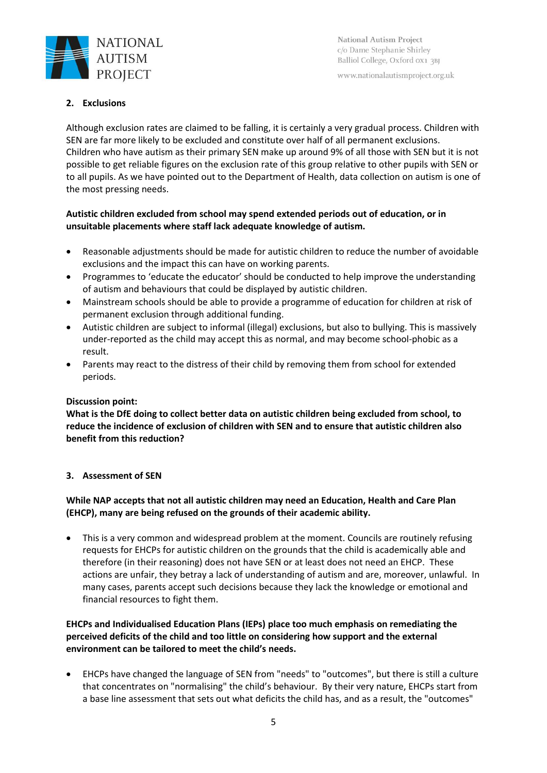

National Autism Project c/o Dame Stephanie Shirley Balliol College, Oxford 0X1 3BJ

www.nationalautismproject.org.uk

## **2. Exclusions**

Although exclusion rates are claimed to be falling, it is certainly a very gradual process. Children with SEN are far more likely to be excluded and constitute over half of all permanent exclusions. Children who have autism as their primary SEN make up around 9% of all those with SEN but it is not possible to get reliable figures on the exclusion rate of this group relative to other pupils with SEN or to all pupils. As we have pointed out to the Department of Health, data collection on autism is one of the most pressing needs.

## **Autistic children excluded from school may spend extended periods out of education, or in unsuitable placements where staff lack adequate knowledge of autism.**

- Reasonable adjustments should be made for autistic children to reduce the number of avoidable exclusions and the impact this can have on working parents.
- Programmes to 'educate the educator' should be conducted to help improve the understanding of autism and behaviours that could be displayed by autistic children.
- Mainstream schools should be able to provide a programme of education for children at risk of permanent exclusion through additional funding.
- Autistic children are subject to informal (illegal) exclusions, but also to bullying. This is massively under-reported as the child may accept this as normal, and may become school-phobic as a result.
- Parents may react to the distress of their child by removing them from school for extended periods.

#### **Discussion point:**

**What is the DfE doing to collect better data on autistic children being excluded from school, to reduce the incidence of exclusion of children with SEN and to ensure that autistic children also benefit from this reduction?**

#### **3. Assessment of SEN**

## **While NAP accepts that not all autistic children may need an Education, Health and Care Plan (EHCP), many are being refused on the grounds of their academic ability.**

• This is a very common and widespread problem at the moment. Councils are routinely refusing requests for EHCPs for autistic children on the grounds that the child is academically able and therefore (in their reasoning) does not have SEN or at least does not need an EHCP. These actions are unfair, they betray a lack of understanding of autism and are, moreover, unlawful. In many cases, parents accept such decisions because they lack the knowledge or emotional and financial resources to fight them.

## **EHCPs and Individualised Education Plans (IEPs) place too much emphasis on remediating the perceived deficits of the child and too little on considering how support and the external environment can be tailored to meet the child's needs.**

• EHCPs have changed the language of SEN from "needs" to "outcomes", but there is still a culture that concentrates on "normalising" the child's behaviour. By their very nature, EHCPs start from a base line assessment that sets out what deficits the child has, and as a result, the "outcomes"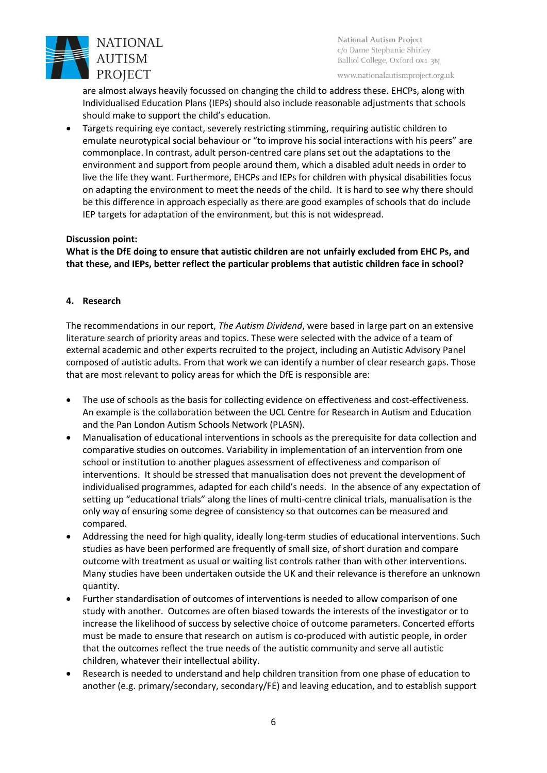

National Autism Project c/o Dame Stephanie Shirley Balliol College, Oxford 0x1 3BJ

www.nationalautismproject.org.uk

are almost always heavily focussed on changing the child to address these. EHCPs, along with Individualised Education Plans (IEPs) should also include reasonable adjustments that schools should make to support the child's education.

• Targets requiring eye contact, severely restricting stimming, requiring autistic children to emulate neurotypical social behaviour or "to improve his social interactions with his peers" are commonplace. In contrast, adult person-centred care plans set out the adaptations to the environment and support from people around them, which a disabled adult needs in order to live the life they want. Furthermore, EHCPs and IEPs for children with physical disabilities focus on adapting the environment to meet the needs of the child. It is hard to see why there should be this difference in approach especially as there are good examples of schools that do include IEP targets for adaptation of the environment, but this is not widespread.

#### **Discussion point:**

**What is the DfE doing to ensure that autistic children are not unfairly excluded from EHC Ps, and that these, and IEPs, better reflect the particular problems that autistic children face in school?** 

#### **4. Research**

The recommendations in our report, *The Autism Dividend*, were based in large part on an extensive literature search of priority areas and topics. These were selected with the advice of a team of external academic and other experts recruited to the project, including an Autistic Advisory Panel composed of autistic adults. From that work we can identify a number of clear research gaps. Those that are most relevant to policy areas for which the DfE is responsible are:

- The use of schools as the basis for collecting evidence on effectiveness and cost-effectiveness. An example is the collaboration between the UCL Centre for Research in Autism and Education and the Pan London Autism Schools Network (PLASN).
- Manualisation of educational interventions in schools as the prerequisite for data collection and comparative studies on outcomes. Variability in implementation of an intervention from one school or institution to another plagues assessment of effectiveness and comparison of interventions. It should be stressed that manualisation does not prevent the development of individualised programmes, adapted for each child's needs. In the absence of any expectation of setting up "educational trials" along the lines of multi-centre clinical trials, manualisation is the only way of ensuring some degree of consistency so that outcomes can be measured and compared.
- Addressing the need for high quality, ideally long-term studies of educational interventions. Such studies as have been performed are frequently of small size, of short duration and compare outcome with treatment as usual or waiting list controls rather than with other interventions. Many studies have been undertaken outside the UK and their relevance is therefore an unknown quantity.
- Further standardisation of outcomes of interventions is needed to allow comparison of one study with another. Outcomes are often biased towards the interests of the investigator or to increase the likelihood of success by selective choice of outcome parameters. Concerted efforts must be made to ensure that research on autism is co-produced with autistic people, in order that the outcomes reflect the true needs of the autistic community and serve all autistic children, whatever their intellectual ability.
- Research is needed to understand and help children transition from one phase of education to another (e.g. primary/secondary, secondary/FE) and leaving education, and to establish support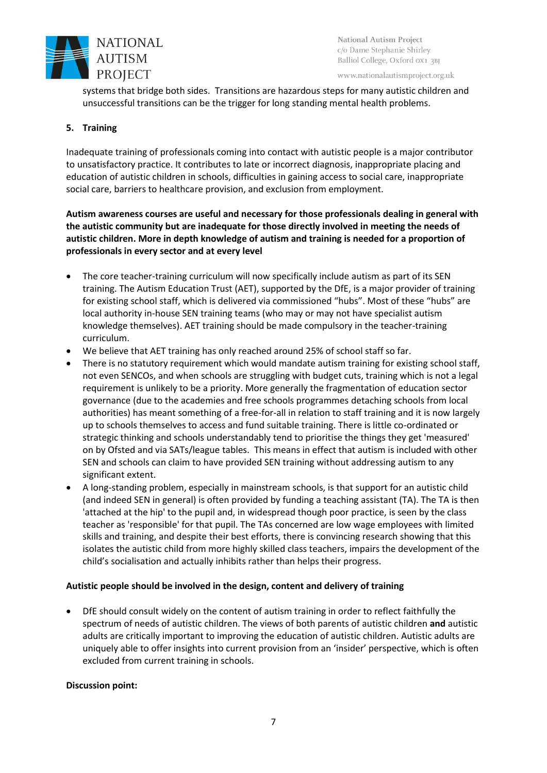

National Autism Project c/o Dame Stephanie Shirley Balliol College, Oxford 0X1 3BJ

www.nationalautismproject.org.uk

systems that bridge both sides. Transitions are hazardous steps for many autistic children and unsuccessful transitions can be the trigger for long standing mental health problems.

#### **5. Training**

Inadequate training of professionals coming into contact with autistic people is a major contributor to unsatisfactory practice. It contributes to late or incorrect diagnosis, inappropriate placing and education of autistic children in schools, difficulties in gaining access to social care, inappropriate social care, barriers to healthcare provision, and exclusion from employment.

**Autism awareness courses are useful and necessary for those professionals dealing in general with the autistic community but are inadequate for those directly involved in meeting the needs of autistic children. More in depth knowledge of autism and training is needed for a proportion of professionals in every sector and at every level**

- The core teacher-training curriculum will now specifically include autism as part of its SEN training. The Autism Education Trust (AET), supported by the DfE, is a major provider of training for existing school staff, which is delivered via commissioned "hubs". Most of these "hubs" are local authority in-house SEN training teams (who may or may not have specialist autism knowledge themselves). AET training should be made compulsory in the teacher-training curriculum.
- We believe that AET training has only reached around 25% of school staff so far.
- There is no statutory requirement which would mandate autism training for existing school staff, not even SENCOs, and when schools are struggling with budget cuts, training which is not a legal requirement is unlikely to be a priority. More generally the fragmentation of education sector governance (due to the academies and free schools programmes detaching schools from local authorities) has meant something of a free-for-all in relation to staff training and it is now largely up to schools themselves to access and fund suitable training. There is little co-ordinated or strategic thinking and schools understandably tend to prioritise the things they get 'measured' on by Ofsted and via SATs/league tables. This means in effect that autism is included with other SEN and schools can claim to have provided SEN training without addressing autism to any significant extent.
- A long-standing problem, especially in mainstream schools, is that support for an autistic child (and indeed SEN in general) is often provided by funding a teaching assistant (TA). The TA is then 'attached at the hip' to the pupil and, in widespread though poor practice, is seen by the class teacher as 'responsible' for that pupil. The TAs concerned are low wage employees with limited skills and training, and despite their best efforts, there is convincing research showing that this isolates the autistic child from more highly skilled class teachers, impairs the development of the child's socialisation and actually inhibits rather than helps their progress.

#### **Autistic people should be involved in the design, content and delivery of training**

• DfE should consult widely on the content of autism training in order to reflect faithfully the spectrum of needs of autistic children. The views of both parents of autistic children **and** autistic adults are critically important to improving the education of autistic children. Autistic adults are uniquely able to offer insights into current provision from an 'insider' perspective, which is often excluded from current training in schools.

#### **Discussion point:**